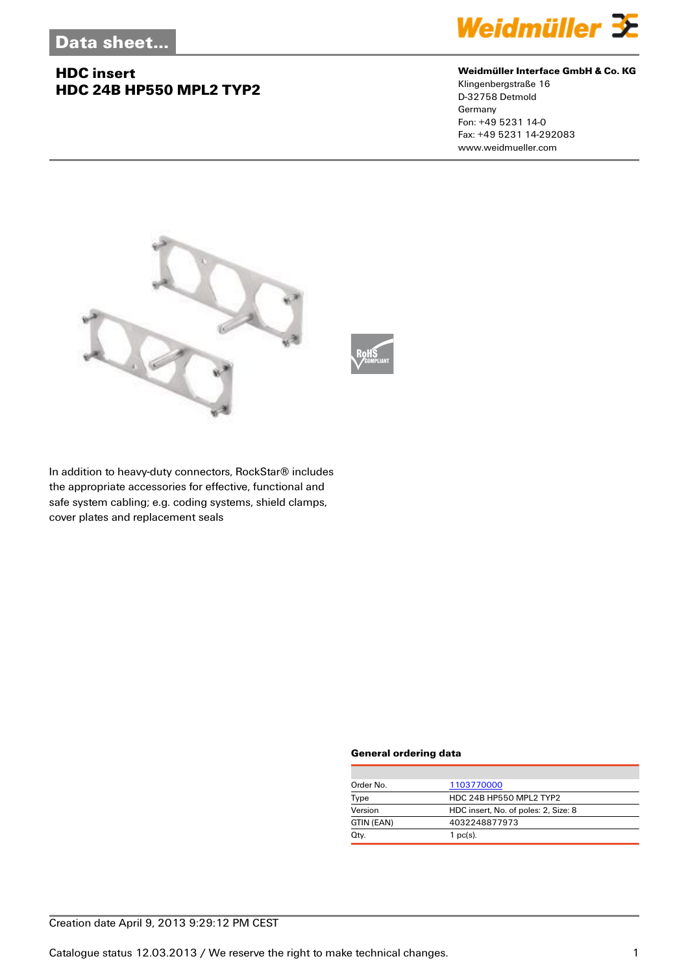## **HDC insert HDC 24B HP550 MPL2 TYP2**



#### **Weidmüller Interface GmbH & Co. KG**

Klingenbergstraße 16 D-32758 Detmold Germany Fon: +49 5231 14-0 Fax: +49 5231 14-292083 www.weidmueller.com



In addition to heavy-duty connectors, RockStar® includes the appropriate accessories for effective, functional and safe system cabling; e.g. coding systems, shield clamps, cover plates and replacement seals

#### **General ordering data**

| Order No.  | 1103770000                           |
|------------|--------------------------------------|
| Type       | HDC 24B HP550 MPL2 TYP2              |
| Version    | HDC insert, No. of poles: 2, Size: 8 |
| GTIN (EAN) | 4032248877973                        |
| Qty.       | $1$ pc(s).                           |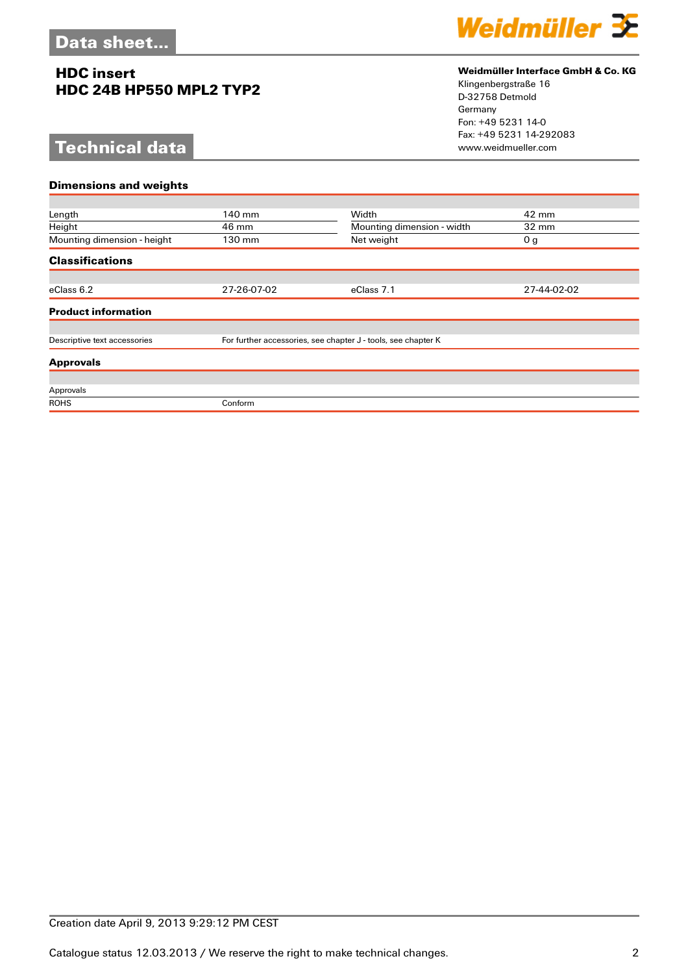## **HDC insert HDC 24B HP550 MPL2 TYP2**

# **Technical data**



### **Weidmüller Interface GmbH & Co. KG**

Klingenbergstraße 16 D-32758 Detmold Germany Fon: +49 5231 14-0 Fax: +49 5231 14-292083

| <b>Dimensions and weights</b> |                                                               |                            |                 |  |  |
|-------------------------------|---------------------------------------------------------------|----------------------------|-----------------|--|--|
|                               |                                                               |                            |                 |  |  |
| Length                        | 140 mm                                                        | Width                      | 42 mm           |  |  |
| Height                        | 46 mm                                                         | Mounting dimension - width | $32 \text{ mm}$ |  |  |
| Mounting dimension - height   | 130 mm                                                        | Net weight                 | 0 <sub>g</sub>  |  |  |
| <b>Classifications</b>        |                                                               |                            |                 |  |  |
|                               |                                                               |                            |                 |  |  |
| eClass 6.2                    | 27-26-07-02                                                   | eClass 7.1                 | 27-44-02-02     |  |  |
| <b>Product information</b>    |                                                               |                            |                 |  |  |
|                               |                                                               |                            |                 |  |  |
| Descriptive text accessories  | For further accessories, see chapter J - tools, see chapter K |                            |                 |  |  |
| <b>Approvals</b>              |                                                               |                            |                 |  |  |
|                               |                                                               |                            |                 |  |  |
| Approvals                     |                                                               |                            |                 |  |  |
| <b>ROHS</b>                   | Conform                                                       |                            |                 |  |  |